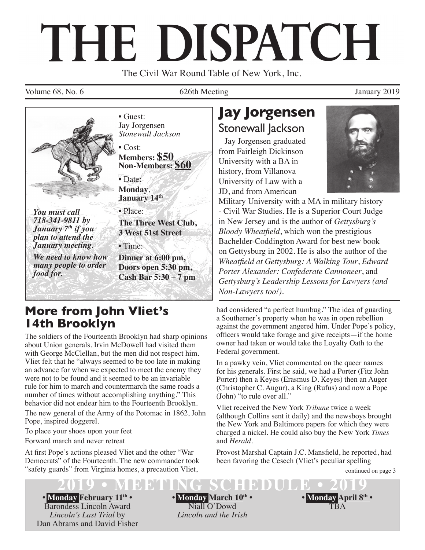# THE DISPATCH

The Civil War Round Table of New York, Inc.

Volume 68, No. 6 626th Meeting 10 626th Meeting January 2019



*We need to know how many people to order food for.*

• Guest: Jay Jorgensen *Stonewall Jackson*

• Cost: **Members: \$50 Non-Members: \$60**

• Date: **Monday**, **January 14th**

• Place: **The Three West Club, 3 West 51st Street** 

• Time:

**Dinner at 6:00 pm, Doors open 5:30 pm, Cash Bar 5:30 – 7 pm**

## **More from John Vliet's 14th Brooklyn**

The soldiers of the Fourteenth Brooklyn had sharp opinions about Union generals. Irvin McDowell had visited them with George McClellan, but the men did not respect him. Vliet felt that he "always seemed to be too late in making an advance for when we expected to meet the enemy they were not to be found and it seemed to be an invariable rule for him to march and countermarch the same roads a number of times without accomplishing anything." This behavior did not endear him to the Fourteenth Brooklyn.

The new general of the Army of the Potomac in 1862, John Pope, inspired doggerel.

To place your shoes upon your feet

Forward march and never retreat

At first Pope's actions pleased Vliet and the other "War" Democrats" of the Fourteenth. The new commander took "safety guards" from Virginia homes, a precaution Vliet,

# **Jay Jorgensen** Stonewall Jackson

Jay Jorgensen graduated from Fairleigh Dickinson University with a BA in history, from Villanova University of Law with a JD, and from American



Military University with a MA in military history - Civil War Studies. He is a Superior Court Judge in New Jersey and is the author of *Gettysburg's Bloody Wheatfield*, which won the prestigious Bachelder-Coddington Award for best new book on Gettysburg in 2002. He is also the author of the *Wheatfield at Gettysburg: A Walking Tour, Edward Porter Alexander: Confederate Cannoneer*, and *Gettysburg's Leadership Lessons for Lawyers (and Non-Lawyers too!)*.

had considered "a perfect humbug." The idea of guarding a Southerner's property when he was in open rebellion against the government angered him. Under Pope's policy, officers would take forage and give receipts—if the home owner had taken or would take the Loyalty Oath to the Federal government.

In a pawky vein, Vliet commented on the queer names for his generals. First he said, we had a Porter (Fitz John Porter) then a Keyes (Erasmus D. Keyes) then an Auger (Christopher C. Augur), a King (Rufus) and now a Pope (John) "to rule over all."

Vliet received the New York *Tribune* twice a week (although Collins sent it daily) and the newsboys brought the New York and Baltimore papers for which they were charged a nickel. He could also buy the New York *Times* and *Herald*.

Provost Marshal Captain J.C. Mansfield, he reported, had been favoring the Cesech (Vliet's peculiar spelling

continued on page 3

**• Monday February 11th •** Barondess Lincoln Award *Lincoln's Last Trial* by Dan Abrams and David Fisher **• Monday March 10th •** Niall O'Dowd *Lincoln and the Irish*

**2019 • MEETING SCHEDULE • 2019 • Monday April 8th •** TBA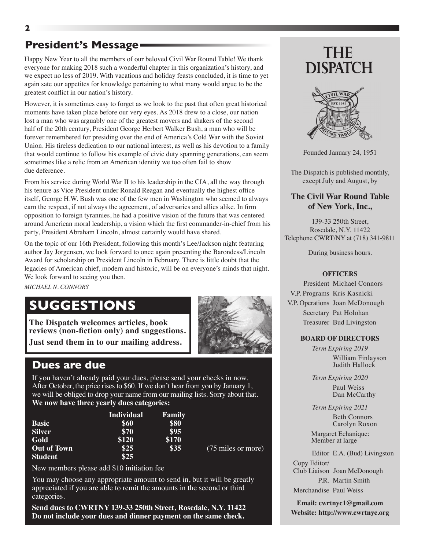## **President's Message**

Happy New Year to all the members of our beloved Civil War Round Table! We thank everyone for making 2018 such a wonderful chapter in this organization's history, and we expect no less of 2019. With vacations and holiday feasts concluded, it is time to yet again sate our appetites for knowledge pertaining to what many would argue to be the greatest conflict in our nation's history.

However, it is sometimes easy to forget as we look to the past that often great historical moments have taken place before our very eyes. As 2018 drew to a close, our nation lost a man who was arguably one of the greatest movers and shakers of the second half of the 20th century, President George Herbert Walker Bush, a man who will be forever remembered for presiding over the end of America's Cold War with the Soviet Union. His tireless dedication to our national interest, as well as his devotion to a family that would continue to follow his example of civic duty spanning generations, can seem sometimes like a relic from an American identity we too often fail to show due deference.

From his service during World War II to his leadership in the CIA, all the way through his tenure as Vice President under Ronald Reagan and eventually the highest office itself, George H.W. Bush was one of the few men in Washington who seemed to always earn the respect, if not always the agreement, of adversaries and allies alike. In firm opposition to foreign tyrannies, he had a positive vision of the future that was centered around American moral leadership, a vision which the first commander-in-chief from his party, President Abraham Lincoln, almost certainly would have shared.

On the topic of our 16th President, following this month's Lee/Jackson night featuring author Jay Jorgensen, we look forward to once again presenting the Barondess/Lincoln Award for scholarship on President Lincoln in February. There is little doubt that the legacies of American chief, modern and historic, will be on everyone's minds that night. We look forward to seeing you then.

*MICHAEL N. CONNORS*

## **SUGGESTIONS**

**The Dispatch welcomes articles, book reviews (non-fiction only) and suggestions. Just send them in to our mailing address.** 



## **Dues are due**

If you haven't already paid your dues, please send your checks in now. After October, the price rises to \$60. If we don't hear from you by January 1, we will be obliged to drop your name from our mailing lists. Sorry about that. **We now have three yearly dues categories:**

|                    | <b>Individual</b> | Family |                    |
|--------------------|-------------------|--------|--------------------|
| <b>Basic</b>       | \$60              | \$80   |                    |
| <b>Silver</b>      | \$70              | \$95   |                    |
| Gold               | \$120             | \$170  |                    |
| <b>Out of Town</b> | \$25              | \$35   | (75 miles or more) |
| <b>Student</b>     | \$25              |        |                    |

New members please add \$10 initiation fee

You may choose any appropriate amount to send in, but it will be greatly appreciated if you are able to remit the amounts in the second or third categories.

**Send dues to CWRTNY 139-33 250th Street, Rosedale, N.Y. 11422 Do not include your dues and dinner payment on the same check.**

# **THE DISPATCH**



Founded January 24, 1951

The Dispatch is published monthly, except July and August, by

#### **The Civil War Round Table of New York, Inc.,**

139-33 250th Street, Rosedale, N.Y. 11422 Telephone CWRT/NY at (718) 341-9811

During business hours.

#### **OFFICERS**

President Michael Connors V.P. Programs Kris Kasnicki V.P. Operations Joan McDonough Secretary Pat Holohan Treasurer Bud Livingston

#### **BOARD OF DIRECTORS**

*Term Expiring 2019* William Finlayson Judith Hallock

*Term Expiring 2020* Paul Weiss Dan McCarthy

*Term Expiring 2021*

 Beth Connors Carolyn Roxon

 Margaret Echanique: Member at large

Editor E.A. (Bud) Livingston Copy Editor/ Club Liaison Joan McDonough P.R. Martin Smith

Merchandise Paul Weiss

**Email: cwrtnyc1@gmail.com Website: http://www.cwrtnyc.org**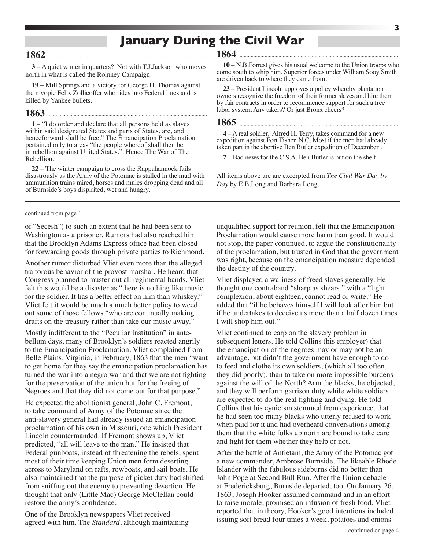## **January During the Civil War**

#### **1862**

**3** – A quiet winter in quarters? Not with T.J.Jackson who moves north in what is called the Romney Campaign.

**19** – Mill Springs and a victory for George H. Thomas against the myopic Felix Zollicoffer who rides into Federal lines and is killed by Yankee bullets.

### **1863**

**1** – "I do order and declare that all persons held as slaves within said designated States and parts of States, are, and henceforward shall be free." The Emancipation Proclamation pertained only to areas "the people whereof shall then be in rebellion against United States." Hence The War of The Rebellion.

**22** – The winter campaign to cross the Rappahannock fails disastrously as the Army of the Potomac is stalled in the mud with ammunition trains mired, horses and mules dropping dead and all of Burnside's boys dispirited, wet and hungry.

continued from page 1

of "Secesh") to such an extent that he had been sent to Washington as a prisoner. Rumors had also reached him that the Brooklyn Adams Express office had been closed for forwarding goods through private parties to Richmond.

Another rumor disturbed Vliet even more than the alleged traitorous behavior of the provost marshal. He heard that Congress planned to muster out all regimental bands. Vliet felt this would be a disaster as "there is nothing like music for the soldier. It has a better effect on him than whiskey." Vliet felt it would be much a much better policy to weed out some of those fellows "who are continually making drafts on the treasury rather than take our music away."

Mostly indifferent to the "Peculiar Institution" in antebellum days, many of Brooklyn's soldiers reacted angrily to the Emancipation Proclamation. Vliet complained from Belle Plains, Virginia, in February, 1863 that the men "want to get home for they say the emancipation proclamation has turned the war into a negro war and that we are not fighting for the preservation of the union but for the freeing of Negroes and that they did not come out for that purpose."

He expected the abolitionist general, John C. Fremont, to take command of Army of the Potomac since the anti-slavery general had already issued an emancipation proclamation of his own in Missouri, one which President Lincoln countermanded. If Fremont shows up, Vliet predicted, "all will leave to the man." He insisted that Federal gunboats, instead of threatening the rebels, spent most of their time keeping Union men form deserting across to Maryland on rafts, rowboats, and sail boats. He also maintained that the purpose of picket duty had shifted from sniffing out the enemy to preventing desertion. He thought that only (Little Mac) George McClellan could restore the army's confidence.

One of the Brooklyn newspapers Vliet received agreed with him. The *Standard*, although maintaining

#### **1864**

**10** – N.B.Forrest gives his usual welcome to the Union troops who come south to whip him. Superior forces under William Sooy Smith are driven back to where they came from.

**23** – President Lincoln approves a policy whereby plantation owners recognize the freedom of their former slaves and hire them by fair contracts in order to recommence support for such a free labor system. Any takers? Or just Bronx cheers?

**1865** 

**4** – A real soldier, Alfred H. Terry, takes command for a new expedition against Fort Fisher. N.C. Most if the men had already taken part in the abortive Ben Butler expedition of December .

**7** – Bad news for the C.S.A. Ben Butler is put on the shelf.

All items above are are excerpted from *The Civil War Day by Day* by E.B.Long and Barbara Long.

unqualified support for reunion, felt that the Emancipation Proclamation would cause more harm than good. It would not stop, the paper continued, to argue the constitutionality of the proclamation, but trusted in God that the government was right, because on the emancipation measure depended the destiny of the country.

Vliet displayed a wariness of freed slaves generally. He thought one contraband "sharp as shears," with a "light complexion, about eighteen, cannot read or write." He added that "if he behaves himself I will look after him but if he undertakes to deceive us more than a half dozen times I will shop him out."

Vliet continued to carp on the slavery problem in subsequent letters. He told Collins (his employer) that the emancipation of the negroes may or may not be an advantage, but didn't the government have enough to do to feed and clothe its own soldiers, (which all too often they did poorly), than to take on more impossible burdens against the will of the North? Arm the blacks, he objected, and they will perform garrison duty while white soldiers are expected to do the real fighting and dying. He told Collins that his cynicism stemmed from experience, that he had seen too many blacks who utterly refused to work when paid for it and had overheard conversations among them that the white folks up north are bound to take care and fight for them whether they help or not.

After the battle of Antietam, the Army of the Potomac got a new commander, Ambrose Burnside. The likeable Rhode Islander with the fabulous sideburns did no better than John Pope at Second Bull Run. After the Union debacle at Fredericksburg, Burnside departed, too. On January 26, 1863, Joseph Hooker assumed command and in an effort to raise morale, promised an infusion of fresh food. Vliet reported that in theory, Hooker's good intentions included issuing soft bread four times a week, potatoes and onions